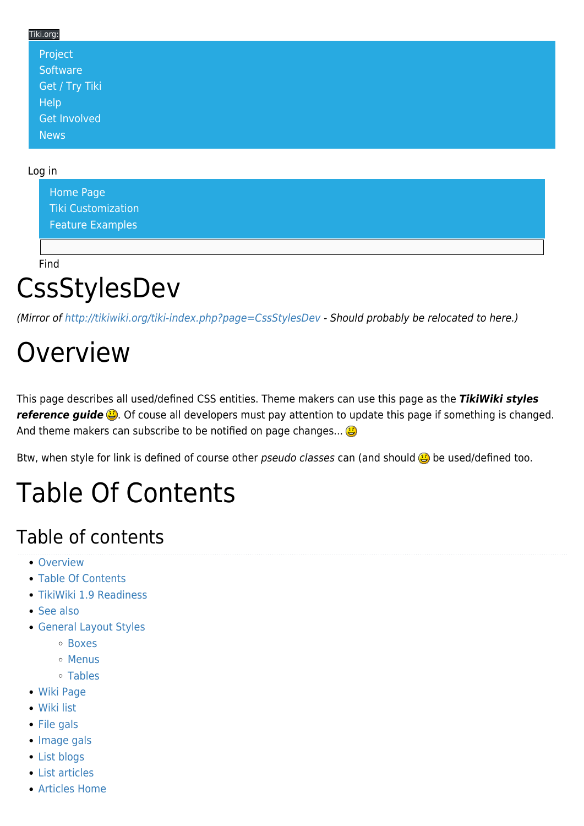#### Tiki.org: [Project](https://tiki.org/Project Introduction) **[Software](https://tiki.org/Software Overview and Model)** [Get / Try Tiki](https://tiki.org/Get Tiki - Try Tiki) **[Help](https://tiki.org/Get Help)** [Get Involved](https://tiki.org/Get Involved) [News](https://tiki.org/News)

#### Log in

[Home Page](https://themes.tiki.org/Themes) [Tiki Customization](https://themes.tiki.org/Tiki-Customization) [Feature Examples](#page--1-0)

Find

#### **CssStylesDev**

(Mirror of<http://tikiwiki.org/tiki-index.php?page=CssStylesDev>- Should probably be relocated to here.)

#### **Overview**

This page describes all used/defined CSS entities. Theme makers can use this page as the *TikiWiki styles reference guide*  $\ddot{a}$ . Of couse all developers must pay attention to update this page if something is changed. And theme makers can subscribe to be notified on page changes...

Btw, when style for link is defined of course other pseudo classes can (and should  $\ddot{\mathbf{B}}$  be used/defined too.

## Table Of Contents

#### Table of contents

- [Overview](#page--1-0)
- [Table Of Contents](#page--1-0)
- [TikiWiki 1.9 Readiness](#TikiWiki_1.9_Readiness)
- [See also](#page--1-0)
- [General Layout Styles](#page--1-0)
	- [Boxes](#page--1-0)
	- o [Menus](#page--1-0)
	- [Tables](#page--1-0)
- [Wiki Page](#page--1-0)
- [Wiki list](#page--1-0)
- [File gals](#page--1-0)
- [Image gals](#page--1-0)
- [List blogs](#page--1-0)
- [List articles](#page--1-0)
- [Articles Home](#page--1-0)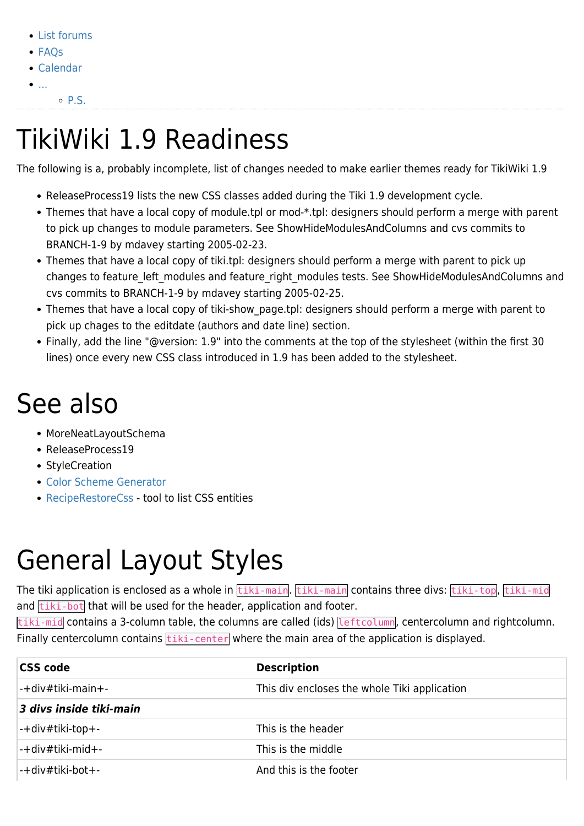- [List forums](#page--1-0)
- [FAQs](#page--1-0)
- [Calendar](#page--1-0)
- $\bullet$ [...](#page--1-0).
	- $\circ$  [P.S.](#P.S.)

## TikiWiki 1.9 Readiness

The following is a, probably incomplete, list of changes needed to make earlier themes ready for TikiWiki 1.9

- [ReleaseProcess19](https://themes.tiki.org/tiki-editpage.php?page=ReleaseProcess19) lists the new CSS classes added during the Tiki 1.9 development cycle.
- Themes that have a local copy of module.tpl or mod-\*.tpl: designers should perform a merge with parent to pick up changes to module parameters. See [ShowHideModulesAndColumns](https://themes.tiki.org/tiki-editpage.php?page=ShowHideModulesAndColumns) and cvs commits to BRANCH-1-9 by mdavey starting 2005-02-23.
- Themes that have a local copy of tiki.tpl: designers should perform a merge with parent to pick up changes to feature left modules and feature right modules tests. See [ShowHideModulesAndColumns](https://themes.tiki.org/tiki-editpage.php?page=ShowHideModulesAndColumns) and cvs commits to BRANCH-1-9 by mdavey starting 2005-02-25.
- Themes that have a local copy of tiki-show page.tpl: designers should perform a merge with parent to pick up chages to the editdate (authors and date line) section.
- Finally, add the line "@version: 1.9" into the comments at the top of the stylesheet (within the first 30 lines) once every new CSS class introduced in 1.9 has been added to the stylesheet.

#### See also

- [MoreNeatLayoutSchema](https://themes.tiki.org/tiki-editpage.php?page=MoreNeatLayoutSchema)
- [ReleaseProcess19](https://themes.tiki.org/tiki-editpage.php?page=ReleaseProcess19)
- [StyleCreation](https://themes.tiki.org/tiki-editpage.php?page=StyleCreation)
- [Color Scheme Generator](https://themes.tiki.org/Color-Scheme-Generator)
- [RecipeRestoreCss](https://themes.tiki.org/RecipeRestoreCss) tool to list CSS entities

## General Layout Styles

The tiki application is enclosed as a whole in tiki-main. tiki-main contains three divs: tiki-top, tiki-mid and  $\overline{\text{tiki-bot}}$  that will be used for the header, application and footer.

tiki-mid contains a 3-column table, the columns are called (ids) leftcolumn, centercolumn and rightcolumn. Finally centercolumn contains  $\frac{t}{t}$  the center where the main area of the application is displayed.

| <b>CSS code</b>         | <b>Description</b>                           |
|-------------------------|----------------------------------------------|
| -+div#tiki-main+-       | This div encloses the whole Tiki application |
| 3 divs inside tiki-main |                                              |
| $ -+$ div#tiki-top+-    | This is the header                           |
| l-+div#tiki-mid+-       | This is the middle                           |
| l-+div#tiki-bot+-       | And this is the footer                       |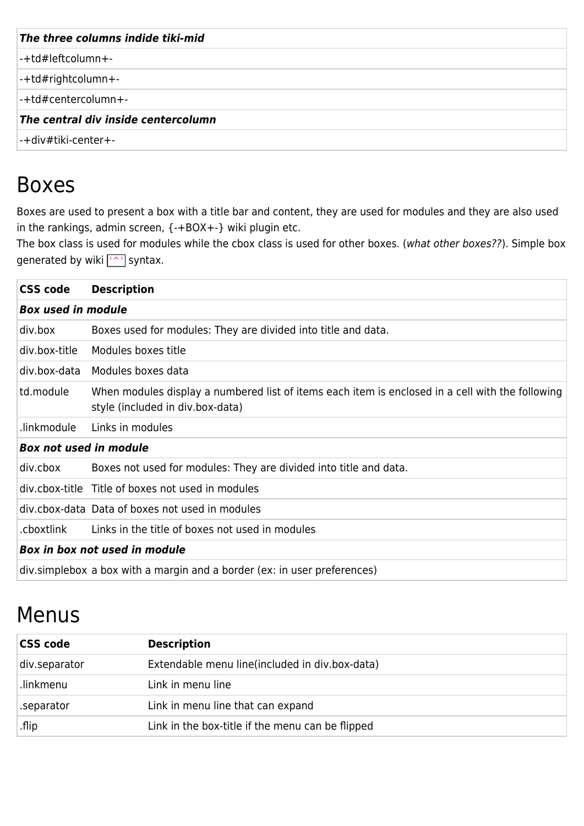| The three columns indide tiki-mid   |  |
|-------------------------------------|--|
| $ -+td\#$ left column + -           |  |
| $ -+td\#right$ column+-             |  |
| -+td#centercolumn+-                 |  |
| The central div inside centercolumn |  |
| l-+div#tiki-center+-                |  |

#### Boxes

Boxes are used to present a box with a title bar and content, they are used for modules and they are also used in the rankings, admin screen, {-+BOX+-} wiki plugin etc.

The box class is used for modules while the cbox class is used for other boxes. (what other boxes??). Simple box generated by wiki <a>['^']</a> syntax.

| <b>CSS code</b>               | <b>Description</b>                                                                                                                   |
|-------------------------------|--------------------------------------------------------------------------------------------------------------------------------------|
| <b>Box used in module</b>     |                                                                                                                                      |
| div.box                       | Boxes used for modules: They are divided into title and data.                                                                        |
| div.box-title                 | Modules boxes title                                                                                                                  |
| div.box-data                  | Modules boxes data                                                                                                                   |
| td.module                     | When modules display a numbered list of items each item is enclosed in a cell with the following<br>style (included in div.box-data) |
| linkmodule.                   | Links in modules                                                                                                                     |
| <b>Box not used in module</b> |                                                                                                                                      |
| div.cbox                      | Boxes not used for modules: They are divided into title and data.                                                                    |
|                               | div.cbox-title Title of boxes not used in modules                                                                                    |
|                               | div.cbox-data Data of boxes not used in modules                                                                                      |
| .cboxtlink                    | Links in the title of boxes not used in modules                                                                                      |
|                               | Box in box not used in module                                                                                                        |
|                               | div.simplebox a box with a margin and a border (ex: in user preferences)                                                             |

#### Menus

| <b>CSS code</b> | <b>Description</b>                               |
|-----------------|--------------------------------------------------|
| div.separator   | Extendable menu line (included in div.box-data)  |
| .linkmenu       | Link in menu line                                |
| .separator      | Link in menu line that can expand                |
| flip.           | Link in the box-title if the menu can be flipped |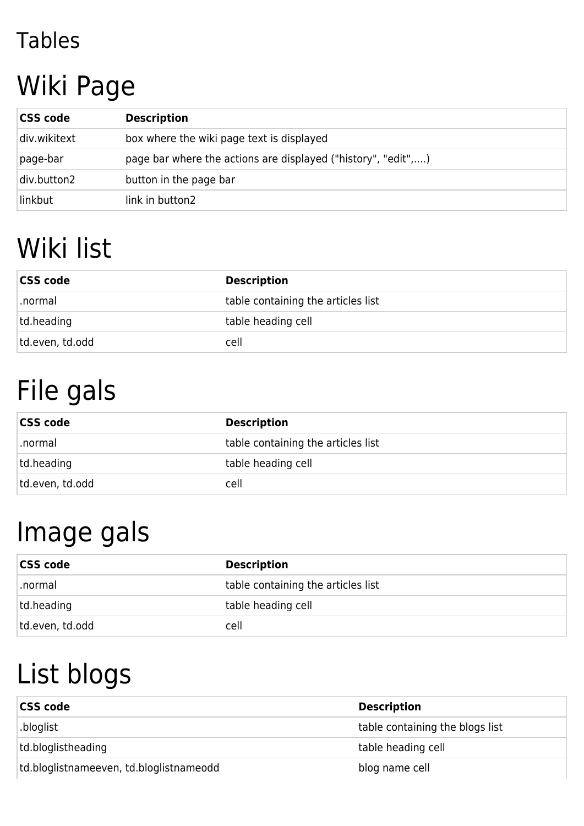#### Tables

## Wiki Page

| <b>CSS code</b> | <b>Description</b>                                            |
|-----------------|---------------------------------------------------------------|
| div.wikitext    | box where the wiki page text is displayed                     |
| page-bar        | page bar where the actions are displayed ("history", "edit",) |
| div.button2     | button in the page bar                                        |
| linkbut         | link in button2                                               |

## Wiki list

| <b>CSS code</b> | <b>Description</b>                 |  |
|-----------------|------------------------------------|--|
| .normal         | table containing the articles list |  |
| td.heading      | table heading cell                 |  |
| td.even, td.odd | cell                               |  |

# File gals

| <b>CSS code</b> | <b>Description</b>                 |  |
|-----------------|------------------------------------|--|
| .normal         | table containing the articles list |  |
| td.heading      | table heading cell                 |  |
| td.even, td.odd | cell                               |  |

#### Image gals

| <b>CSS code</b> | <b>Description</b>                 |
|-----------------|------------------------------------|
| .normal         | table containing the articles list |
| td.heading      | table heading cell                 |
| td.even, td.odd | cell                               |

# List blogs

| <b>CSS code</b>                         | <b>Description</b>              |
|-----------------------------------------|---------------------------------|
| .bloglist                               | table containing the blogs list |
| td.bloglistheading                      | table heading cell              |
| td.bloglistnameeven, td.bloglistnameodd | blog name cell                  |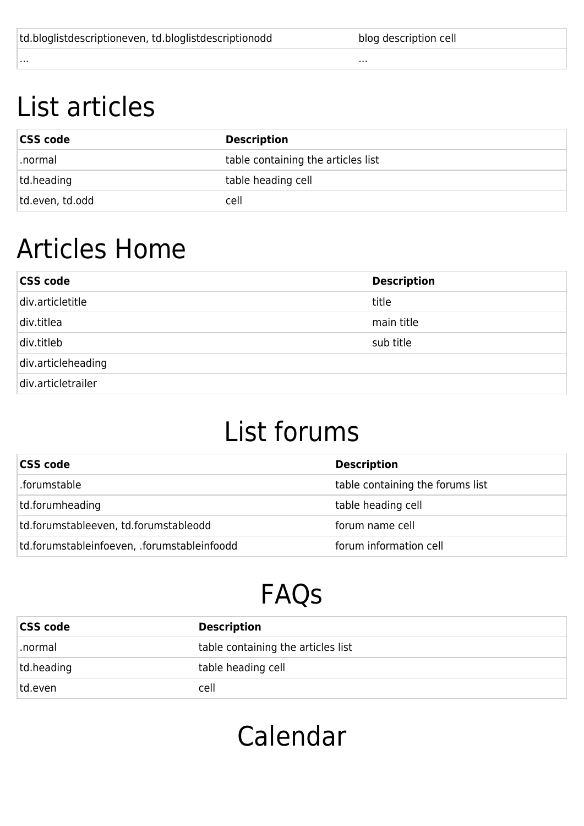| td.bloglistdescriptioneven, td.bloglistdescriptionodd | blog description cell |
|-------------------------------------------------------|-----------------------|
|                                                       | .                     |

#### List articles

| <b>CSS code</b> | <b>Description</b>                 |
|-----------------|------------------------------------|
| .normal         | table containing the articles list |
| td.heading      | table heading cell                 |
| td.even, td.odd | cell                               |

#### Articles Home

| <b>CSS code</b>    | <b>Description</b> |
|--------------------|--------------------|
| div.articletitle   | title              |
| div.titlea         | main title         |
| div.titleb         | sub title          |
| div.articleheading |                    |
| div.articletrailer |                    |

#### List forums

| <b>CSS code</b>                             | <b>Description</b>               |
|---------------------------------------------|----------------------------------|
| .forumstable                                | table containing the forums list |
| td.forumheading                             | table heading cell               |
| td.forumstableeven, td.forumstableodd       | forum name cell                  |
| td.forumstableinfoeven, .forumstableinfoodd | forum information cell           |

## FAQs

| <b>CSS code</b> | <b>Description</b>                 |
|-----------------|------------------------------------|
| .normal         | table containing the articles list |
| td.heading      | table heading cell                 |
| td.even         | cell                               |

#### Calendar